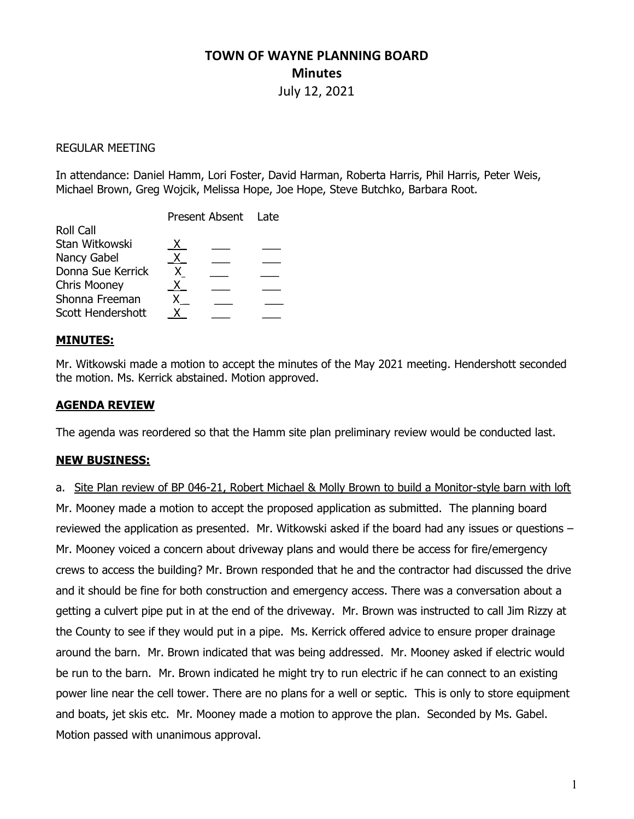# TOWN OF WAYNE PLANNING BOARD **Minutes**

July 12, 2021

#### REGULAR MEETING

In attendance: Daniel Hamm, Lori Foster, David Harman, Roberta Harris, Phil Harris, Peter Weis, Michael Brown, Greg Wojcik, Melissa Hope, Joe Hope, Steve Butchko, Barbara Root.

#### MINUTES:

Mr. Witkowski made a motion to accept the minutes of the May 2021 meeting. Hendershott seconded the motion. Ms. Kerrick abstained. Motion approved.

## AGENDA REVIEW

The agenda was reordered so that the Hamm site plan preliminary review would be conducted last.

#### NEW BUSINESS:

a. Site Plan review of BP 046-21, Robert Michael & Molly Brown to build a Monitor-style barn with loft Mr. Mooney made a motion to accept the proposed application as submitted. The planning board reviewed the application as presented. Mr. Witkowski asked if the board had any issues or questions – Mr. Mooney voiced a concern about driveway plans and would there be access for fire/emergency crews to access the building? Mr. Brown responded that he and the contractor had discussed the drive and it should be fine for both construction and emergency access. There was a conversation about a getting a culvert pipe put in at the end of the driveway. Mr. Brown was instructed to call Jim Rizzy at the County to see if they would put in a pipe. Ms. Kerrick offered advice to ensure proper drainage around the barn. Mr. Brown indicated that was being addressed. Mr. Mooney asked if electric would be run to the barn. Mr. Brown indicated he might try to run electric if he can connect to an existing power line near the cell tower. There are no plans for a well or septic. This is only to store equipment and boats, jet skis etc. Mr. Mooney made a motion to approve the plan. Seconded by Ms. Gabel. Motion passed with unanimous approval.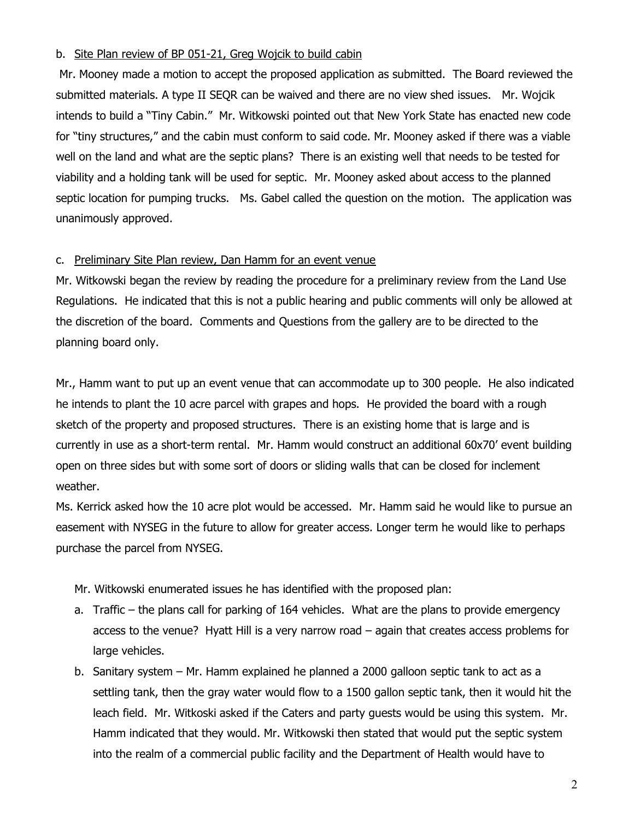## b. Site Plan review of BP 051-21, Greg Wojcik to build cabin

 Mr. Mooney made a motion to accept the proposed application as submitted. The Board reviewed the submitted materials. A type II SEQR can be waived and there are no view shed issues. Mr. Wojcik intends to build a "Tiny Cabin." Mr. Witkowski pointed out that New York State has enacted new code for "tiny structures," and the cabin must conform to said code. Mr. Mooney asked if there was a viable well on the land and what are the septic plans? There is an existing well that needs to be tested for viability and a holding tank will be used for septic. Mr. Mooney asked about access to the planned septic location for pumping trucks. Ms. Gabel called the question on the motion. The application was unanimously approved.

## c. Preliminary Site Plan review, Dan Hamm for an event venue

Mr. Witkowski began the review by reading the procedure for a preliminary review from the Land Use Regulations. He indicated that this is not a public hearing and public comments will only be allowed at the discretion of the board. Comments and Questions from the gallery are to be directed to the planning board only.

Mr., Hamm want to put up an event venue that can accommodate up to 300 people. He also indicated he intends to plant the 10 acre parcel with grapes and hops. He provided the board with a rough sketch of the property and proposed structures. There is an existing home that is large and is currently in use as a short-term rental. Mr. Hamm would construct an additional 60x70' event building open on three sides but with some sort of doors or sliding walls that can be closed for inclement weather.

Ms. Kerrick asked how the 10 acre plot would be accessed. Mr. Hamm said he would like to pursue an easement with NYSEG in the future to allow for greater access. Longer term he would like to perhaps purchase the parcel from NYSEG.

Mr. Witkowski enumerated issues he has identified with the proposed plan:

- a. Traffic the plans call for parking of 164 vehicles. What are the plans to provide emergency access to the venue? Hyatt Hill is a very narrow road – again that creates access problems for large vehicles.
- b. Sanitary system Mr. Hamm explained he planned a 2000 galloon septic tank to act as a settling tank, then the gray water would flow to a 1500 gallon septic tank, then it would hit the leach field. Mr. Witkoski asked if the Caters and party guests would be using this system. Mr. Hamm indicated that they would. Mr. Witkowski then stated that would put the septic system into the realm of a commercial public facility and the Department of Health would have to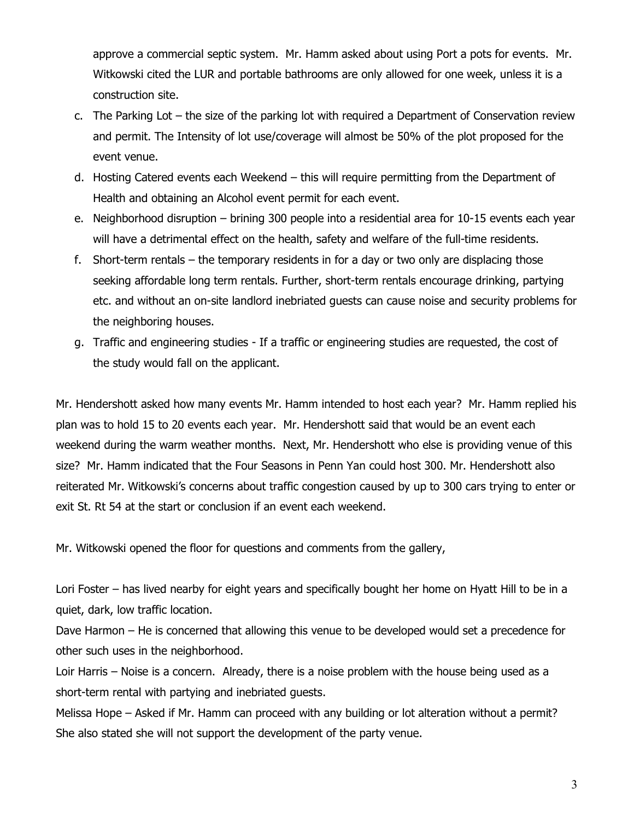approve a commercial septic system. Mr. Hamm asked about using Port a pots for events. Mr. Witkowski cited the LUR and portable bathrooms are only allowed for one week, unless it is a construction site.

- c. The Parking Lot the size of the parking lot with required a Department of Conservation review and permit. The Intensity of lot use/coverage will almost be 50% of the plot proposed for the event venue.
- d. Hosting Catered events each Weekend this will require permitting from the Department of Health and obtaining an Alcohol event permit for each event.
- e. Neighborhood disruption brining 300 people into a residential area for 10-15 events each year will have a detrimental effect on the health, safety and welfare of the full-time residents.
- f. Short-term rentals the temporary residents in for a day or two only are displacing those seeking affordable long term rentals. Further, short-term rentals encourage drinking, partying etc. and without an on-site landlord inebriated guests can cause noise and security problems for the neighboring houses.
- g. Traffic and engineering studies If a traffic or engineering studies are requested, the cost of the study would fall on the applicant.

Mr. Hendershott asked how many events Mr. Hamm intended to host each year? Mr. Hamm replied his plan was to hold 15 to 20 events each year. Mr. Hendershott said that would be an event each weekend during the warm weather months. Next, Mr. Hendershott who else is providing venue of this size? Mr. Hamm indicated that the Four Seasons in Penn Yan could host 300. Mr. Hendershott also reiterated Mr. Witkowski's concerns about traffic congestion caused by up to 300 cars trying to enter or exit St. Rt 54 at the start or conclusion if an event each weekend.

Mr. Witkowski opened the floor for questions and comments from the gallery,

Lori Foster – has lived nearby for eight years and specifically bought her home on Hyatt Hill to be in a quiet, dark, low traffic location.

Dave Harmon – He is concerned that allowing this venue to be developed would set a precedence for other such uses in the neighborhood.

Loir Harris – Noise is a concern. Already, there is a noise problem with the house being used as a short-term rental with partying and inebriated guests.

Melissa Hope – Asked if Mr. Hamm can proceed with any building or lot alteration without a permit? She also stated she will not support the development of the party venue.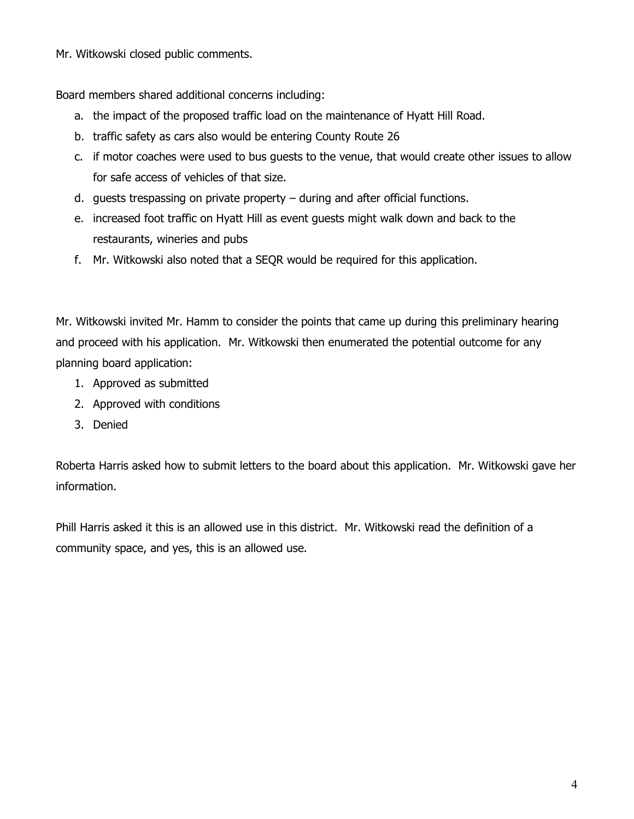Mr. Witkowski closed public comments.

Board members shared additional concerns including:

- a. the impact of the proposed traffic load on the maintenance of Hyatt Hill Road.
- b. traffic safety as cars also would be entering County Route 26
- c. if motor coaches were used to bus guests to the venue, that would create other issues to allow for safe access of vehicles of that size.
- d. guests trespassing on private property during and after official functions.
- e. increased foot traffic on Hyatt Hill as event guests might walk down and back to the restaurants, wineries and pubs
- f. Mr. Witkowski also noted that a SEQR would be required for this application.

Mr. Witkowski invited Mr. Hamm to consider the points that came up during this preliminary hearing and proceed with his application. Mr. Witkowski then enumerated the potential outcome for any planning board application:

- 1. Approved as submitted
- 2. Approved with conditions
- 3. Denied

Roberta Harris asked how to submit letters to the board about this application. Mr. Witkowski gave her information.

Phill Harris asked it this is an allowed use in this district. Mr. Witkowski read the definition of a community space, and yes, this is an allowed use.